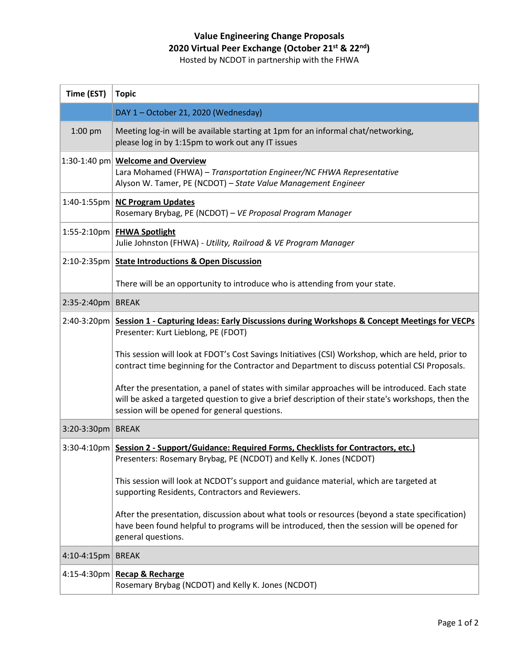## **Value Engineering Change Proposals 2020 Virtual Peer Exchange (October 21st & 22nd)**

Hosted by NCDOT in partnership with the FHWA

| Time (EST)        | <b>Topic</b>                                                                                                                                                                                                                                            |
|-------------------|---------------------------------------------------------------------------------------------------------------------------------------------------------------------------------------------------------------------------------------------------------|
|                   | DAY 1 - October 21, 2020 (Wednesday)                                                                                                                                                                                                                    |
| 1:00 pm           | Meeting log-in will be available starting at 1pm for an informal chat/networking,<br>please log in by 1:15pm to work out any IT issues                                                                                                                  |
|                   | $ 1:30-1:40$ pm Welcome and Overview<br>Lara Mohamed (FHWA) - Transportation Engineer/NC FHWA Representative<br>Alyson W. Tamer, PE (NCDOT) - State Value Management Engineer                                                                           |
|                   | 1:40-1:55pm   NC Program Updates<br>Rosemary Brybag, PE (NCDOT) - VE Proposal Program Manager                                                                                                                                                           |
|                   | 1:55-2:10pm   FHWA Spotlight<br>Julie Johnston (FHWA) - Utility, Railroad & VE Program Manager                                                                                                                                                          |
|                   | 2:10-2:35pm State Introductions & Open Discussion                                                                                                                                                                                                       |
|                   | There will be an opportunity to introduce who is attending from your state.                                                                                                                                                                             |
| 2:35-2:40pm BREAK |                                                                                                                                                                                                                                                         |
|                   | 2:40-3:20pm Session 1 - Capturing Ideas: Early Discussions during Workshops & Concept Meetings for VECPs<br>Presenter: Kurt Lieblong, PE (FDOT)                                                                                                         |
|                   | This session will look at FDOT's Cost Savings Initiatives (CSI) Workshop, which are held, prior to<br>contract time beginning for the Contractor and Department to discuss potential CSI Proposals.                                                     |
|                   | After the presentation, a panel of states with similar approaches will be introduced. Each state<br>will be asked a targeted question to give a brief description of their state's workshops, then the<br>session will be opened for general questions. |
| 3:20-3:30pm BREAK |                                                                                                                                                                                                                                                         |
|                   | 3:30-4:10pm   Session 2 - Support/Guidance: Required Forms, Checklists for Contractors, etc.)<br>Presenters: Rosemary Brybag, PE (NCDOT) and Kelly K. Jones (NCDOT)                                                                                     |
|                   | This session will look at NCDOT's support and guidance material, which are targeted at<br>supporting Residents, Contractors and Reviewers.                                                                                                              |
|                   | After the presentation, discussion about what tools or resources (beyond a state specification)<br>have been found helpful to programs will be introduced, then the session will be opened for<br>general questions.                                    |
| 4:10-4:15pm BREAK |                                                                                                                                                                                                                                                         |
|                   | 4:15-4:30pm   Recap & Recharge<br>Rosemary Brybag (NCDOT) and Kelly K. Jones (NCDOT)                                                                                                                                                                    |